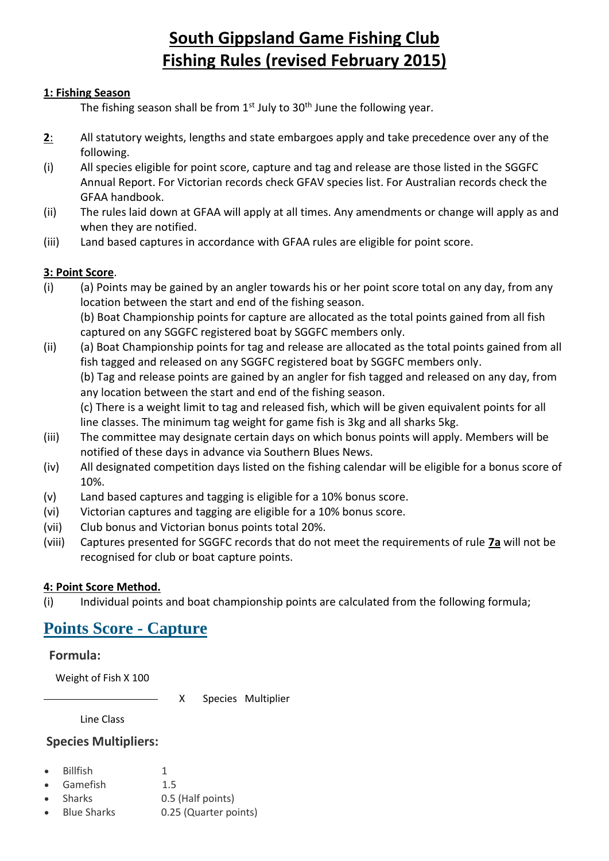# **South Gippsland Game Fishing Club Fishing Rules (revised February 2015)**

### **1: Fishing Season**

The fishing season shall be from  $1<sup>st</sup>$  July to  $30<sup>th</sup>$  June the following year.

- **2**: All statutory weights, lengths and state embargoes apply and take precedence over any of the following.
- (i) All species eligible for point score, capture and tag and release are those listed in the SGGFC Annual Report. For Victorian records check GFAV species list. For Australian records check the GFAA handbook.
- (ii) The rules laid down at GFAA will apply at all times. Any amendments or change will apply as and when they are notified.
- (iii) Land based captures in accordance with GFAA rules are eligible for point score.

### **3: Point Score**.

- (i) (a) Points may be gained by an angler towards his or her point score total on any day, from any location between the start and end of the fishing season. (b) Boat Championship points for capture are allocated as the total points gained from all fish captured on any SGGFC registered boat by SGGFC members only.
- (ii) (a) Boat Championship points for tag and release are allocated as the total points gained from all fish tagged and released on any SGGFC registered boat by SGGFC members only.

(b) Tag and release points are gained by an angler for fish tagged and released on any day, from any location between the start and end of the fishing season.

(c) There is a weight limit to tag and released fish, which will be given equivalent points for all line classes. The minimum tag weight for game fish is 3kg and all sharks 5kg.

- (iii) The committee may designate certain days on which bonus points will apply. Members will be notified of these days in advance via Southern Blues News.
- (iv) All designated competition days listed on the fishing calendar will be eligible for a bonus score of 10%.
- (v) Land based captures and tagging is eligible for a 10% bonus score.
- (vi) Victorian captures and tagging are eligible for a 10% bonus score.
- (vii) Club bonus and Victorian bonus points total 20%.
- (viii) Captures presented for SGGFC records that do not meet the requirements of rule **7a** will not be recognised for club or boat capture points.

### **4: Point Score Method.**

(i) Individual points and boat championship points are calculated from the following formula;

## **[Points Score -](http://www.gfav.com.au/index.php/capture-points-calculator) Capture**

### **Formula:**

Weight of Fish X 100

X Species Multiplier

Line Class

### **Species Multipliers:**

- Billfish 1
- Gamefish 1.5
- Sharks 0.5 (Half points)
- Blue Sharks 0.25 (Quarter points)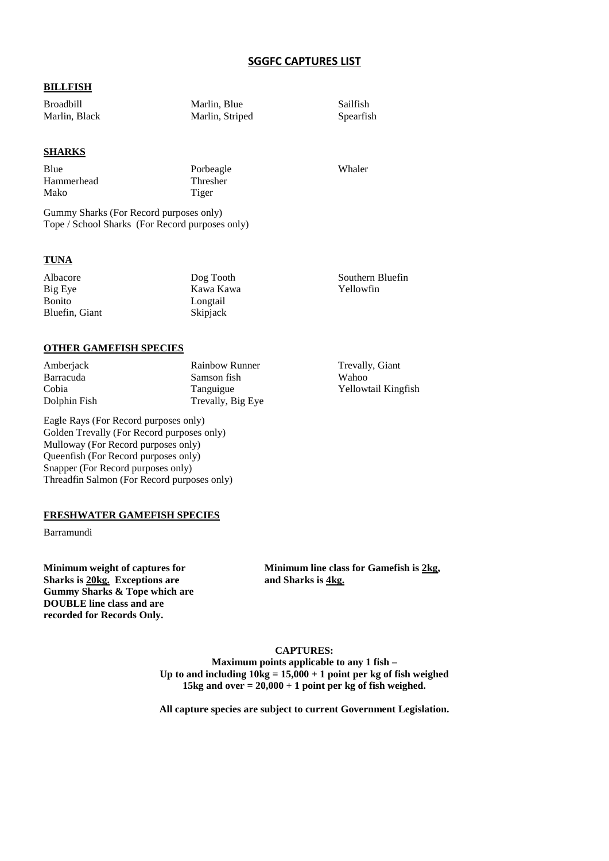#### **SGGFC CAPTURES LIST**

#### **BILLFISH**

Broadbill Marlin, Blue Sailfish Marlin, Black Marlin, Striped Spearfish

#### **SHARKS**

Blue Porbeagle Whaler Hammerhead Thresher Mako Tiger

Gummy Sharks (For Record purposes only) Tope / School Sharks (For Record purposes only)

#### **TUNA**

| Albacore       | Dog Tooth       | Southern Bluefin |
|----------------|-----------------|------------------|
| Big Eye        | Kawa Kawa       | Yellowfin        |
| <b>Bonito</b>  | Longtail        |                  |
| Bluefin, Giant | <b>Skipjack</b> |                  |

#### **OTHER GAMEFISH SPECIES**

Amberjack Rainbow Runner Trevally, Giant Barracuda Samson fish Wahoo Cobia Tanguigue Yellowtail Kingfish Dolphin Fish Trevally, Big Eye

Eagle Rays (For Record purposes only) Golden Trevally (For Record purposes only) Mulloway (For Record purposes only) Queenfish (For Record purposes only) Snapper (For Record purposes only) Threadfin Salmon (For Record purposes only)

**FRESHWATER GAMEFISH SPECIES**

Barramundi

**Sharks is 20kg. Exceptions are and Sharks is 4kg. Gummy Sharks & Tope which are DOUBLE line class and are recorded for Records Only.**

**Minimum weight of captures for Minimum line class for Gamefish is 2kg,**

#### **CAPTURES:**

**Maximum points applicable to any 1 fish – Up to and including 10kg = 15,000 + 1 point per kg of fish weighed 15kg and over = 20,000 + 1 point per kg of fish weighed.**

**All capture species are subject to current Government Legislation.**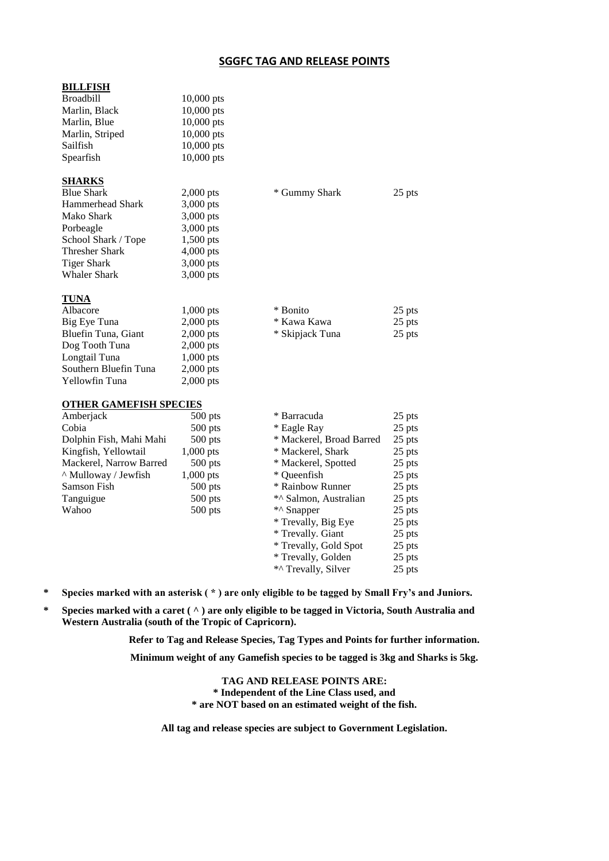#### **SGGFC TAG AND RELEASE POINTS**

| <b>BILLFISH</b>               |              |                          |        |
|-------------------------------|--------------|--------------------------|--------|
| <b>Broadbill</b>              | $10,000$ pts |                          |        |
| Marlin, Black                 | 10,000 pts   |                          |        |
| Marlin, Blue                  | 10,000 pts   |                          |        |
| Marlin, Striped               | 10,000 pts   |                          |        |
| Sailfish                      | 10,000 pts   |                          |        |
| Spearfish                     | 10,000 pts   |                          |        |
|                               |              |                          |        |
| <b>SHARKS</b>                 |              |                          |        |
| <b>Blue Shark</b>             | $2,000$ pts  | * Gummy Shark            | 25 pts |
| Hammerhead Shark              | $3,000$ pts  |                          |        |
| Mako Shark                    | 3,000 pts    |                          |        |
| Porbeagle                     | 3,000 pts    |                          |        |
| School Shark / Tope           | 1,500 pts    |                          |        |
| <b>Thresher Shark</b>         | 4,000 pts    |                          |        |
| <b>Tiger Shark</b>            | 3,000 pts    |                          |        |
| <b>Whaler Shark</b>           | 3,000 pts    |                          |        |
|                               |              |                          |        |
| <u>TUNA</u>                   |              |                          |        |
| Albacore                      | $1,000$ pts  | * Bonito                 | 25 pts |
| Big Eye Tuna                  | $2,000$ pts  | * Kawa Kawa              | 25 pts |
| Bluefin Tuna, Giant           | $2,000$ pts  | * Skipjack Tuna          | 25 pts |
| Dog Tooth Tuna                | $2,000$ pts  |                          |        |
| Longtail Tuna                 | 1,000 pts    |                          |        |
| Southern Bluefin Tuna         | $2,000$ pts  |                          |        |
| Yellowfin Tuna                | 2,000 pts    |                          |        |
|                               |              |                          |        |
| <b>OTHER GAMEFISH SPECIES</b> |              |                          |        |
| Amberjack                     | $500$ pts    | * Barracuda              | 25 pts |
| Cobia                         | $500$ pts    | * Eagle Ray              | 25 pts |
| Dolphin Fish, Mahi Mahi       | $500$ pts    | * Mackerel, Broad Barred | 25 pts |
| Kingfish, Yellowtail          | 1,000 pts    | * Mackerel, Shark        | 25 pts |
| Mackerel, Narrow Barred       | $500$ pts    | * Mackerel, Spotted      | 25 pts |
| ^ Mulloway / Jewfish          | $1,000$ pts  | * Queenfish              | 25 pts |
| Samson Fish                   | $500$ pts    | * Rainbow Runner         | 25 pts |
| Tanguigue                     | 500 pts      | *^ Salmon, Australian    | 25 pts |
| Wahoo                         | $500$ pts    | *^ Snapper               | 25 pts |
|                               |              | * Trevally, Big Eye      | 25 pts |
|                               |              | * Trevally. Giant        | 25 pts |
|                               |              | * Trevally, Gold Spot    | 25 pts |
|                               |              | * Trevally, Golden       | 25 pts |
|                               |              | *^ Trevally, Silver      | 25 pts |

**\* Species marked with an asterisk ( \* ) are only eligible to be tagged by Small Fry's and Juniors.**

**\* Species marked with a caret ( ^ ) are only eligible to be tagged in Victoria, South Australia and Western Australia (south of the Tropic of Capricorn).**

> **Refer to Tag and Release Species, Tag Types and Points for further information. Minimum weight of any Gamefish species to be tagged is 3kg and Sharks is 5kg.**

> > **TAG AND RELEASE POINTS ARE: \* Independent of the Line Class used, and \* are NOT based on an estimated weight of the fish.**

**All tag and release species are subject to Government Legislation.**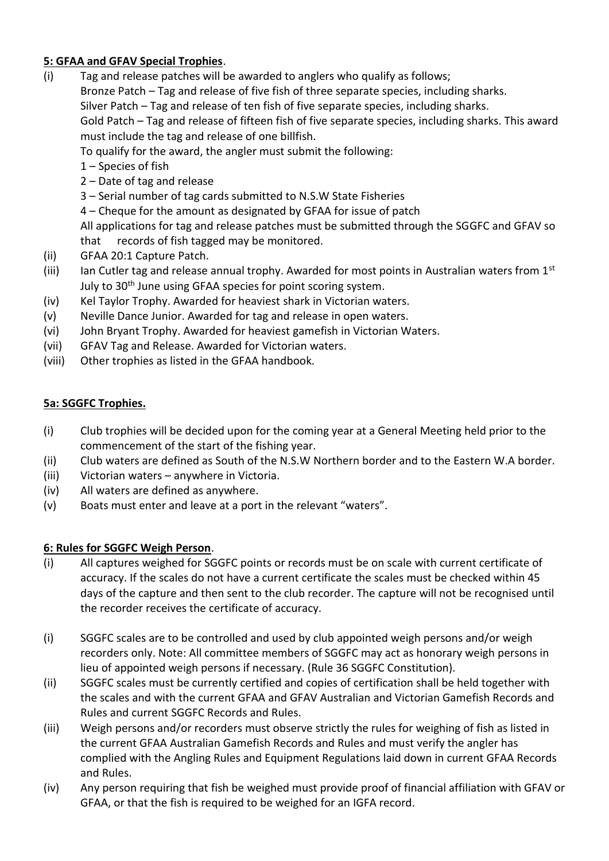### **5: GFAA and GFAV Special Trophies**.

- (i) Tag and release patches will be awarded to anglers who qualify as follows; Bronze Patch – Tag and release of five fish of three separate species, including sharks. Silver Patch – Tag and release of ten fish of five separate species, including sharks. Gold Patch – Tag and release of fifteen fish of five separate species, including sharks. This award must include the tag and release of one billfish. To qualify for the award, the angler must submit the following:
	- 1 Species of fish
	- 2 Date of tag and release
	- 3 Serial number of tag cards submitted to N.S.W State Fisheries
	- 4 Cheque for the amount as designated by GFAA for issue of patch

All applications for tag and release patches must be submitted through the SGGFC and GFAV so that records of fish tagged may be monitored.

- (ii) GFAA 20:1 Capture Patch.
- (iii) Ian Cutler tag and release annual trophy. Awarded for most points in Australian waters from  $1<sup>st</sup>$ July to 30<sup>th</sup> June using GFAA species for point scoring system.
- (iv) Kel Taylor Trophy. Awarded for heaviest shark in Victorian waters.
- (v) Neville Dance Junior. Awarded for tag and release in open waters.
- (vi) John Bryant Trophy. Awarded for heaviest gamefish in Victorian Waters.
- (vii) GFAV Tag and Release. Awarded for Victorian waters.
- (viii) Other trophies as listed in the GFAA handbook.

### **5a: SGGFC Trophies.**

- (i) Club trophies will be decided upon for the coming year at a General Meeting held prior to the commencement of the start of the fishing year.
- (ii) Club waters are defined as South of the N.S.W Northern border and to the Eastern W.A border.
- (iii) Victorian waters anywhere in Victoria.
- (iv) All waters are defined as anywhere.
- (v) Boats must enter and leave at a port in the relevant "waters".

### **6: Rules for SGGFC Weigh Person**.

- (i) All captures weighed for SGGFC points or records must be on scale with current certificate of accuracy. If the scales do not have a current certificate the scales must be checked within 45 days of the capture and then sent to the club recorder. The capture will not be recognised until the recorder receives the certificate of accuracy.
- (i) SGGFC scales are to be controlled and used by club appointed weigh persons and/or weigh recorders only. Note: All committee members of SGGFC may act as honorary weigh persons in lieu of appointed weigh persons if necessary. (Rule 36 SGGFC Constitution).
- (ii) SGGFC scales must be currently certified and copies of certification shall be held together with the scales and with the current GFAA and GFAV Australian and Victorian Gamefish Records and Rules and current SGGFC Records and Rules.
- (iii) Weigh persons and/or recorders must observe strictly the rules for weighing of fish as listed in the current GFAA Australian Gamefish Records and Rules and must verify the angler has complied with the Angling Rules and Equipment Regulations laid down in current GFAA Records and Rules.
- (iv) Any person requiring that fish be weighed must provide proof of financial affiliation with GFAV or GFAA, or that the fish is required to be weighed for an IGFA record.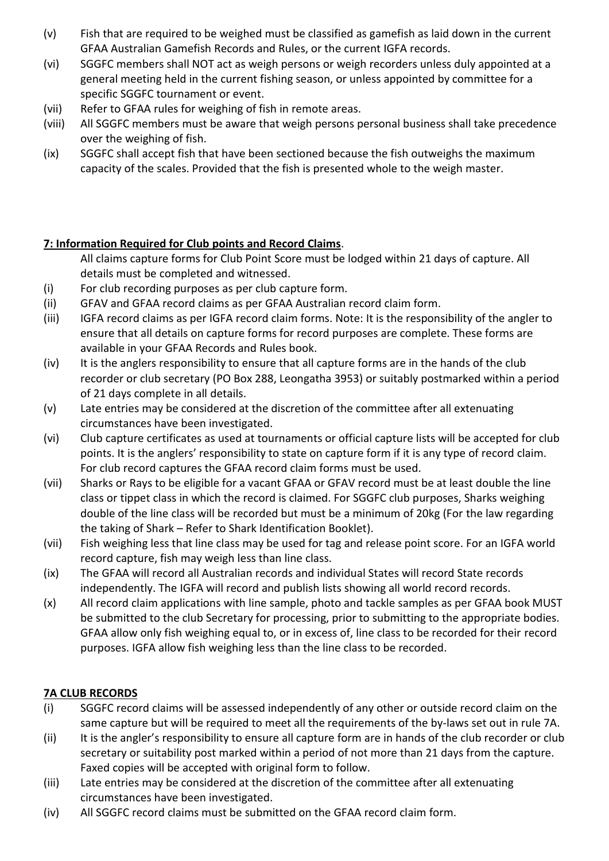- (v) Fish that are required to be weighed must be classified as gamefish as laid down in the current GFAA Australian Gamefish Records and Rules, or the current IGFA records.
- (vi) SGGFC members shall NOT act as weigh persons or weigh recorders unless duly appointed at a general meeting held in the current fishing season, or unless appointed by committee for a specific SGGFC tournament or event.
- (vii) Refer to GFAA rules for weighing of fish in remote areas.
- (viii) All SGGFC members must be aware that weigh persons personal business shall take precedence over the weighing of fish.
- (ix) SGGFC shall accept fish that have been sectioned because the fish outweighs the maximum capacity of the scales. Provided that the fish is presented whole to the weigh master.

### **7: Information Required for Club points and Record Claims**.

All claims capture forms for Club Point Score must be lodged within 21 days of capture. All details must be completed and witnessed.

- (i) For club recording purposes as per club capture form.
- (ii) GFAV and GFAA record claims as per GFAA Australian record claim form.
- (iii) IGFA record claims as per IGFA record claim forms. Note: It is the responsibility of the angler to ensure that all details on capture forms for record purposes are complete. These forms are available in your GFAA Records and Rules book.
- (iv) It is the anglers responsibility to ensure that all capture forms are in the hands of the club recorder or club secretary (PO Box 288, Leongatha 3953) or suitably postmarked within a period of 21 days complete in all details.
- (v) Late entries may be considered at the discretion of the committee after all extenuating circumstances have been investigated.
- (vi) Club capture certificates as used at tournaments or official capture lists will be accepted for club points. It is the anglers' responsibility to state on capture form if it is any type of record claim. For club record captures the GFAA record claim forms must be used.
- (vii) Sharks or Rays to be eligible for a vacant GFAA or GFAV record must be at least double the line class or tippet class in which the record is claimed. For SGGFC club purposes, Sharks weighing double of the line class will be recorded but must be a minimum of 20kg (For the law regarding the taking of Shark – Refer to Shark Identification Booklet).
- (vii) Fish weighing less that line class may be used for tag and release point score. For an IGFA world record capture, fish may weigh less than line class.
- (ix) The GFAA will record all Australian records and individual States will record State records independently. The IGFA will record and publish lists showing all world record records.
- (x) All record claim applications with line sample, photo and tackle samples as per GFAA book MUST be submitted to the club Secretary for processing, prior to submitting to the appropriate bodies. GFAA allow only fish weighing equal to, or in excess of, line class to be recorded for their record purposes. IGFA allow fish weighing less than the line class to be recorded.

### **7A CLUB RECORDS**

- (i) SGGFC record claims will be assessed independently of any other or outside record claim on the same capture but will be required to meet all the requirements of the by-laws set out in rule 7A.
- (ii) It is the angler's responsibility to ensure all capture form are in hands of the club recorder or club secretary or suitability post marked within a period of not more than 21 days from the capture. Faxed copies will be accepted with original form to follow.
- (iii) Late entries may be considered at the discretion of the committee after all extenuating circumstances have been investigated.
- (iv) All SGGFC record claims must be submitted on the GFAA record claim form.